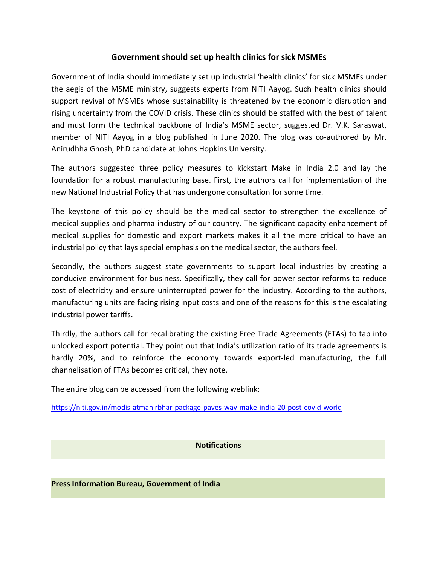## **Government should set up health clinics for sick MSMEs**

Government of India should immediately set up industrial 'health clinics' for sick MSMEs under the aegis of the MSME ministry, suggests experts from NITI Aayog. Such health clinics should support revival of MSMEs whose sustainability is threatened by the economic disruption and rising uncertainty from the COVID crisis. These clinics should be staffed with the best of talent and must form the technical backbone of India's MSME sector, suggested Dr. V.K. Saraswat, member of NITI Aayog in a blog published in June 2020. The blog was co-authored by Mr. Anirudhha Ghosh, PhD candidate at Johns Hopkins University.

The authors suggested three policy measures to kickstart Make in India 2.0 and lay the foundation for a robust manufacturing base. First, the authors call for implementation of the new National Industrial Policy that has undergone consultation for some time.

The keystone of this policy should be the medical sector to strengthen the excellence of medical supplies and pharma industry of our country. The significant capacity enhancement of medical supplies for domestic and export markets makes it all the more critical to have an industrial policy that lays special emphasis on the medical sector, the authors feel.

Secondly, the authors suggest state governments to support local industries by creating a conducive environment for business. Specifically, they call for power sector reforms to reduce cost of electricity and ensure uninterrupted power for the industry. According to the authors, manufacturing units are facing rising input costs and one of the reasons for this is the escalating industrial power tariffs.

Thirdly, the authors call for recalibrating the existing Free Trade Agreements (FTAs) to tap into unlocked export potential. They point out that India's utilization ratio of its trade agreements is hardly 20%, and to reinforce the economy towards export-led manufacturing, the full channelisation of FTAs becomes critical, they note.

The entire blog can be accessed from the following weblink:

<https://niti.gov.in/modis-atmanirbhar-package-paves-way-make-india-20-post-covid-world>

**Notifications**

**Press Information Bureau, Government of India**